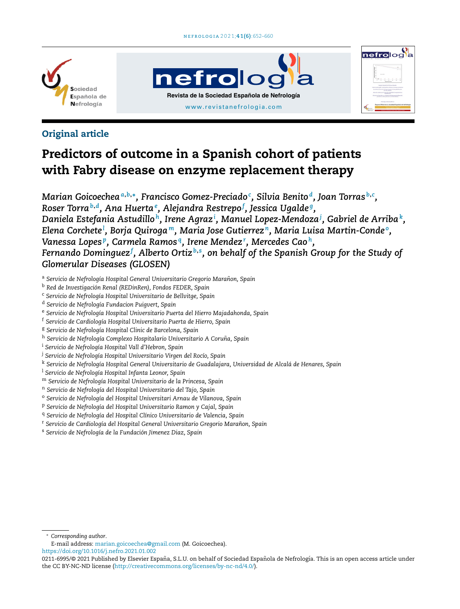





## Original article

# Predictors of outcome in a Spanish cohort of patients with Fabry disease on enzyme replacement therapy

*Marian Goicoechea<sup>a</sup>*,*b*,<sup>∗</sup> *, Francisco Gomez-Preciado<sup>c</sup> , Silvia Benito <sup>d</sup> , Joan Torras <sup>b</sup>*,*<sup>c</sup> , Roser Torra<sup>b</sup>*,*<sup>d</sup> , Ana Huerta<sup>e</sup> , Alejandra Restrepo<sup>f</sup> , Jessica Ugalde <sup>g</sup> , Daniela Estefania Astudillo <sup>h</sup> , Irene Agraz<sup>i</sup> , Manuel Lopez-Mendoza<sup>j</sup> , Gabriel de Arriba<sup>k</sup> , Elena Corchete<sup>l</sup> , Borja Quiroga <sup>m</sup>, Maria Jose Gutierrez <sup>n</sup> , Maria Luisa Martin-Conde <sup>o</sup> , Vanessa Lopes <sup>p</sup> , Carmela Ramos <sup>q</sup> , Irene Mendez<sup>r</sup> , Mercedes Cao <sup>h</sup> , Fernando Dominguez<sup>f</sup> , Alberto Ortiz <sup>b</sup>*,*<sup>s</sup> , on behalf of the Spanish Group for the Study of Glomerular Diseases (GLOSEN)*

- <sup>a</sup> *Servicio de Nefrología Hospital General Universitario Gregorio Maranon, ˜ Spain*
- <sup>b</sup> *Red de Investigación Renal (REDinRen), Fondos FEDER, Spain*
- <sup>c</sup> *Servicio de Nefrología Hospital Universitario de Bellvitge, Spain*
- <sup>d</sup> *Servicio de Nefrología Fundacion Puigvert, Spain*
- <sup>e</sup> *Servicio de Nefrología Hospital Universitario Puerta del Hierro Majadahonda, Spain*
- <sup>f</sup> *Servicio de Cardiología Hospital Universitario Puerta de Hierro, Spain*
- <sup>g</sup> *Servicio de Nefrología Hospital Clinic de Barcelona, Spain*
- <sup>h</sup> *Servicio de Nefrología Complexo Hospitalario Universitario A Coruna, ˜ Spain*
- <sup>i</sup> *Servicio de Nefrología Hospital Vall d'Hebron, Spain*
- <sup>j</sup> *Servicio de Nefrología Hospital Universitario Virgen del Rocío, Spain*
- <sup>k</sup> *Servicio de Nefrología Hospital General Universitario de Guadalajara, Universidad de Alcalá de Henares, Spain*
- <sup>l</sup> *Servicio de Nefrología Hospital Infanta Leonor, Spain*
- <sup>m</sup> *Servicio de Nefrología Hospital Universitario de la Princesa, Spain*
- <sup>n</sup> *Servicio de Nefrología del Hospital Universitario del Tajo, Spain*
- <sup>o</sup> *Servicio de Nefrología del Hospital Universitari Arnau de Vilanova, Spain*
- <sup>p</sup> *Servicio de Nefrología del Hospital Universitario Ramon y Cajal, Spain*
- <sup>q</sup> *Servicio de Nefrología del Hospital Clínico Universitario de Valencia, Spain*
- <sup>r</sup> *Servicio de Cardiología del Hospital General Universitario Gregorio Maranon, ˜ Spain*
- <sup>s</sup> *Servicio de Nefrología de la Fundación Jimenez Diaz, Spain*

<sup>∗</sup> *Corresponding author*.

E-mail address: [marian.goicoechea@gmail.com](mailto:marian.goicoechea@gmail.com) (M. Goicoechea).

<https://doi.org/10.1016/j.nefro.2021.01.002>

<sup>0211-6995/© 2021</sup> Published by Elsevier España, S.L.U. on behalf of Sociedad Española de Nefrología. This is an open access article under the CC BY-NC-ND license ([http://creativecommons.org/licenses/by-nc-nd/4.0/\)](http://creativecommons.org/licenses/by-nc-nd/4.0/).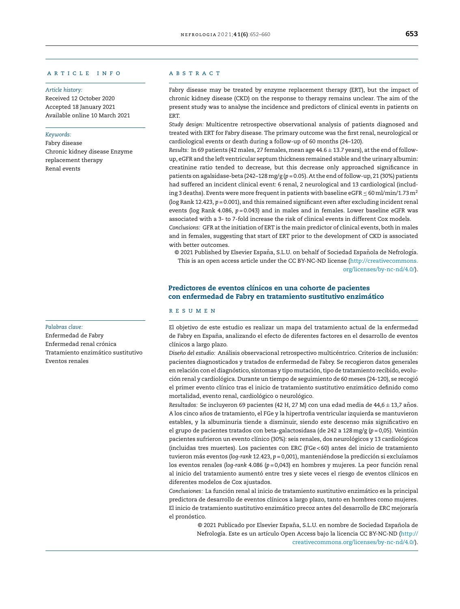## a r t i c l e i n f o

#### *Article history:*

Received 12 October 2020 Accepted 18 January 2021 Available online 10 March 2021

#### *Keywords:*

Fabry disease Chronic kidney disease Enzyme replacement therapy Renal events

#### *Palabras clave:*

Enfermedad de Fabry Enfermedad renal crónica Tratamiento enzimático sustitutivo Eventos renales

## A B S T R A C T

Fabry disease may be treated by enzyme replacement therapy (ERT), but the impact of chronic kidney disease (CKD) on the response to therapy remains unclear. The aim of the present study was to analyse the incidence and predictors of clinical events in patients on ERT.

*Study design:* Multicentre retrospective observational analysis of patients diagnosed and treated with ERT for Fabry disease. The primary outcome was the first renal, neurological or cardiological events or death during a follow-up of 60 months (24–120).

*Results:* In 69 patients (42 males, 27 females, mean age 44.6 ± 13.7 years), atthe end of followup, eGFR and the left ventricular septum thickness remained stable and the urinary albumin: creatinine ratio tended to decrease, but this decrease only approached significance in patients on agalsidase-beta (242–128mg/g (*p* = 0.05). Atthe end offollow-up, 21 (30%) patients had suffered an incident clinical event: 6 renal, 2 neurological and 13 cardiological (including 3 deaths). Events were more frequent in patients with baseline eGFR  $\leq$  60 ml/min/1.73 m<sup>2</sup> (log Rank 12.423, *p* = 0.001), and this remained significant even after excluding incident renal events (log Rank 4.086, *p* = 0.043) and in males and in females. Lower baseline eGFR was associated with a 3- to 7-fold increase the risk of clinical events in different Cox models.

*Conclusions:* GFR at the initiation of ERT is the main predictor of clinical events, both in males and in females, suggesting that start of ERT prior to the development of CKD is associated with better outcomes.

© 2021 Published by Elsevier España, S.L.U. on behalf of Sociedad Española de Nefrología. This is an open access article under the CC BY-NC-ND license ([http://creativecommons.](http://creativecommons.org/licenses/by-nc-nd/4.0/) [org/licenses/by-nc-nd/4.0/\)](http://creativecommons.org/licenses/by-nc-nd/4.0/).

## Predictores de eventos clínicos en una cohorte de pacientes con enfermedad de Fabry en tratamiento sustitutivo enzimático

## r e s u m e n

El objetivo de este estudio es realizar un mapa del tratamiento actual de la enfermedad de Fabry en España, analizando el efecto de diferentes factores en el desarrollo de eventos clínicos a largo plazo.

*Diseno˜ del estudio:* Análisis observacional retrospectivo multicéntrico. Criterios de inclusión: pacientes diagnosticados y tratados de enfermedad de Fabry. Se recogieron datos generales en relación con el diagnóstico, síntomas y tipo mutación, tipo de tratamiento recibido, evolución renal y cardiológica. Durante un tiempo de seguimiento de 60 meses (24-120), se recogió el primer evento clínico tras el inicio de tratamiento sustitutivo enzimático definido como mortalidad, evento renal, cardiológico o neurológico.

*Resultados:* Se incluyeron 69 pacientes (42 H, 27 M) con una edad media de 44,6 ± 13,7 años. A los cinco años de tratamiento, el FGe y la hipertrofia ventricular izquierda se mantuvieron estables, y la albuminuria tiende a disminuir, siendo este descenso más significativo en el grupo de pacientes tratados con beta-galactosidasa (de 242 a 128mg/g (*p* = 0,05). Veintiún pacientes sufrieron un evento clínico (30%): seis renales, dos neurológicos y 13 cardiológicos (incluidas tres muertes). Los pacientes con ERC (FGe < 60) antes del inicio de tratamiento tuvieron más eventos (*log-rank* 12.423, *p* = 0,001), manteniéndose la predicción si excluíamos los eventos renales (*log-rank* 4.086 (*p* = 0,043) en hombres y mujeres. La peor función renal al inicio del tratamiento aumentó entre tres y siete veces el riesgo de eventos clínicos en diferentes modelos de Cox ajustados.

*Conclusiones:* La función renal al inicio de tratamiento sustitutivo enzimático es la principal predictora de desarrollo de eventos clínicos a largo plazo, tanto en hombres como mujeres. El inicio de tratamiento sustitutivo enzimático precoz antes del desarrollo de ERC mejoraría el pronóstico.

> © 2021 Publicado por Elsevier España, S.L.U. en nombre de Sociedad Española de Nefrología. Este es un artículo Open Access bajo la licencia CC BY-NC-ND [\(http://](http://creativecommons.org/licenses/by-nc-nd/4.0/) [creativecommons.org/licenses/by-nc-nd/4.0/\)](http://creativecommons.org/licenses/by-nc-nd/4.0/).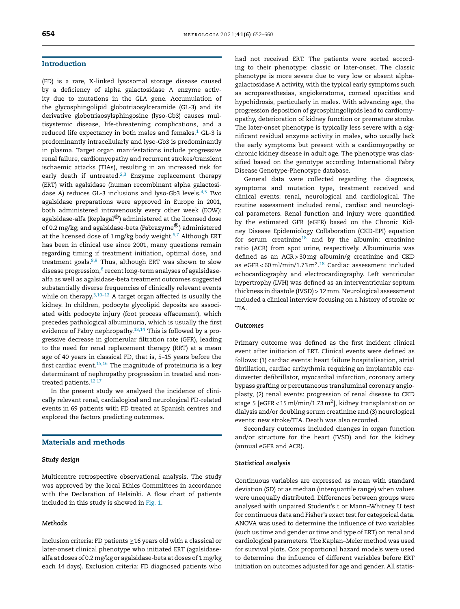## Introduction

(FD) is a rare, X-linked lysosomal storage disease caused by a deficiency of alpha galactosidase A enzyme activity due to mutations in the *GLA* gene. Accumulation of the glycosphingolipid globotriaosylceramide (GL-3) and its derivative globotriaosylsphingosine (lyso-Gb3) causes multisystemic disease, life-threatening complications, and a reduced life expectancy in both males and females.<sup>[1](#page-7-0)</sup> GL-3 is predominantly intracellularly and lyso-Gb3 is predominantly in plasma. Target organ manifestations include progressive renal failure, cardiomyopathy and recurrent strokes/transient ischaemic attacks (TIAs), resulting in an increased risk for early death if untreated.<sup>[2,3](#page-7-0)</sup> Enzyme replacement therapy (ERT) with agalsidase (human recombinant alpha galactosidase A) reduces GL-3 inclusions and lyso-Gb3 levels. $4,5$  Two agalsidase preparations were approved in Europe in 2001, both administered intravenously every other week (EOW): agalsidase-alfa (Replagal<sup>®</sup>) administered at the licensed dose of 0.2mg/kg; and agalsidase-beta (Fabrazyme®) administered at the licensed dose of  $1 \text{ mg/kg}$  body weight.<sup>[6,7](#page-7-0)</sup> Although ERT has been in clinical use since 2001, many questions remain regarding timing if treatment initiation, optimal dose, and treatment goals. $8,9$  Thus, although ERT was shown to slow disease prog[re](#page-7-0)ssion, $^{\rm 6}$  recent long-term analyses of agalsidasealfa as well as agalsidase-beta treatment outcomes suggested substantially diverse frequencies of clinically relevant events while on therapy. $3,10-12$  A target organ affected is usually the kidney. In children, podocyte glycolipid deposits are associated with podocyte injury (foot process effacement), which precedes pathological albuminuria, which is usually the first evidence of Fabry nephropathy. $13,14$  This is followed by a progressive decrease in glomerular filtration rate (GFR), leading to the need for renal replacement therapy (RRT) at a mean age of 40 years in classical FD, that is, 5–15 years before the first cardiac event.[15,16](#page-7-0) The magnitude of proteinuria is a key determinant of nephropathy progression in treated and non-treated patients.<sup>[12,17](#page-7-0)</sup>

In the present study we analysed the incidence of clinically relevant renal, cardialogical and neurological FD-related events in 69 patients with FD treated at Spanish centres and explored the factors predicting outcomes.

## Materials and methods

## *Study design*

Multicentre retrospective observational analysis. The study was approved by the local Ethics Committees in accordance with the Declaration of Helsinki. A flow chart of patients included in this study is showed in [Fig.](#page-3-0) 1.

## *Methods*

Inclusion criteria: FD patients ≥16 years old with a classical or later-onset clinical phenotype who initiated ERT (agalsidasealfa at doses of 0.2 mg/kg or agalsidase-beta at doses of 1mg/kg each 14 days). Exclusion criteria: FD diagnosed patients who had not received ERT. The patients were sorted according to their phenotype: classic or later-onset. The classic phenotype is more severe due to very low or absent alphagalactosidase A activity, with the typical early symptoms such as acroparesthesias, angiokeratoma, corneal opacities and hypohidrosis, particularly in males. With advancing age, the progression deposition of gycosphingolipids lead to cardiomyopathy, deterioration of kidney function or premature stroke. The later-onset phenotype is typically less severe with a significant residual enzyme activity in males, who usually lack the early symptoms but present with a cardiomyopathy or chronic kidney disease in adult age. The phenotype was classified based on the genotype according International Fabry Disease Genotype-Phenotype database.

General data were collected regarding the diagnosis, symptoms and mutation type, treatment received and clinical events: renal, neurological and cardiological. The routine assessment included renal, cardiac and neurological parameters. Renal function and injury were quantified by the estimated GFR (eGFR) based on the Chronic Kidney Disease Epidemiology Collaboration (CKD-EPI) equation for serum creatinine<sup>[18](#page-8-0)</sup> and by the albumin: creatinine ratio (ACR) from spot urine, respectively. Albuminuria was defined as an ACR > 30mg albumin/g creatinine and CKD as eGFR<60 ml/min/1.73 m<sup>2.[18](#page-8-0)</sup> Cardiac assessment included echocardiography and electrocardiography. Left ventricular hypertrophy (LVH) was defined as an interventricular septum thickness in diastole (IVSD) > 12mm. Neurological assessment included a clinical interview focusing on a history of stroke or TIA.

#### *Outcomes*

Primary outcome was defined as the first incident clinical event after initiation of ERT. Clinical events were defined as follows: (1) cardiac events: heart failure hospitalisation, atrial fibrillation, cardiac arrhythmia requiring an implantable cardioverter defibrillator, myocardial infarction, coronary artery bypass grafting or percutaneous transluminal coronary angioplasty, (2) renal events: progression of renal disease to CKD stage 5 [eGFR < 15 ml/min/1.73 m $^2$ ], kidney transplantation or dialysis and/or doubling serum creatinine and (3) neurological events: new stroke/TIA. Death was also recorded.

Secondary outcomes included changes in organ function and/or structure for the heart (IVSD) and for the kidney (annual eGFR and ACR).

#### *Statistical analysis*

Continuous variables are expressed as mean with standard deviation (SD) or as median (interquartile range) when values were unequally distributed. Differences between groups were analysed with unpaired Student's t or Mann–Whitney U test for continuous data and Fisher's exact test for categorical data. ANOVA was used to determine the influence of two variables (such us time and gender or time and type of ERT) on renal and cardiological parameters. The Kaplan–Meier method was used for survival plots. Cox proportional hazard models were used to determine the influence of different variables before ERT initiation on outcomes adjusted for age and gender. All statis-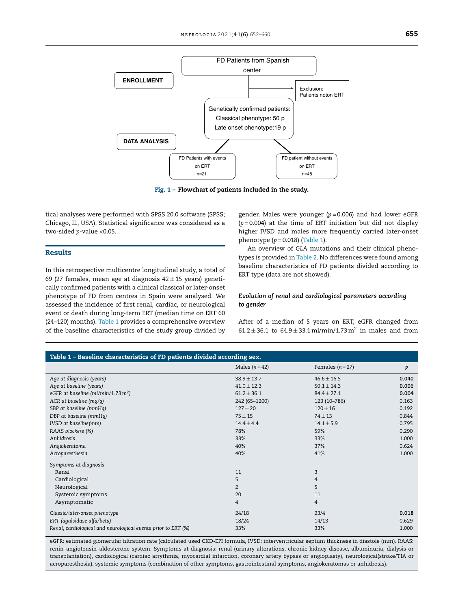<span id="page-3-0"></span>

Fig. 1 – Flowchart of patients included in the study.

tical analyses were performed with SPSS 20.0 software (SPSS; Chicago, IL, USA). Statistical significance was considered as a two-sided *p*-value <0.05.

## Results

In this retrospective multicentre longitudinal study, a total of 69 (27 females, mean age at diagnosis  $42 \pm 15$  years) genetically confirmed patients with a clinical classical or later-onset phenotype of FD from centres in Spain were analysed. We assessed the incidence of first renal, cardiac, or neurological event or death during long-term ERT (median time on ERT 60 (24–120) months). Table 1 provides a comprehensive overview of the baseline characteristics of the study group divided by

gender. Males were younger (*p* = 0.006) and had lower eGFR  $(p=0.004)$  at the time of ERT initiation but did not display higher IVSD and males more frequently carried later-onset phenotype (*p* = 0.018) (Table 1).

An overview of *GLA* mutations and their clinical phenotypes is provided in [Table](#page-4-0) 2. No differences were found among baseline characteristics of FD patients divided according to ERT type (data are not showed).

## *Evolution of renal and cardiological parameters according to gender*

After of a median of 5 years on ERT, eGFR changed from  $61.2 \pm 36.1$  to  $64.9 \pm 33.1$  ml/min/1.73 m<sup>2</sup> in males and from

| Table 1 - Baseline characteristics of FD patients divided according sex. |                 |                  |       |  |  |  |
|--------------------------------------------------------------------------|-----------------|------------------|-------|--|--|--|
|                                                                          | Males $(n=42)$  | Females $(n=27)$ | p     |  |  |  |
| Age at diagnosis (years)                                                 | $38.9 \pm 13.7$ | $46.6 \pm 16.5$  | 0.040 |  |  |  |
| Age at baseline (years)                                                  | $41.0 \pm 12.3$ | $50.1 \pm 14.3$  | 0.006 |  |  |  |
| eGFR at baseline (ml/min/1.73 m <sup>2</sup> )                           | $61.2 \pm 36.1$ | $84.4 \pm 27.1$  | 0.004 |  |  |  |
| ACR at baseline (mq/q)                                                   | 242 (65-1200)   | 123 (10-786)     | 0.163 |  |  |  |
| SBP at baseline (mmHq)                                                   | $127 + 20$      | $120 + 16$       | 0.192 |  |  |  |
| DBP at baseline (mmHq)                                                   | $75 \pm 15$     | $74 \pm 13$      | 0.844 |  |  |  |
| IVSD at baseline(mm)                                                     | $14.4 \pm 4.4$  | $14.1 \pm 5.9$   | 0.795 |  |  |  |
| RAAS blockers (%)                                                        | 78%             | 59%              | 0.290 |  |  |  |
| Anhidrosis                                                               | 33%             | 33%              | 1.000 |  |  |  |
| Angiokeratoma                                                            | 40%             | 37%              | 0.624 |  |  |  |
| Acroparesthesia                                                          | 40%             | 41%              | 1.000 |  |  |  |
| Symptoms at diagnosis                                                    |                 |                  |       |  |  |  |
| Renal                                                                    | 11              | 3                |       |  |  |  |
| Cardiological                                                            | 5               | $\overline{4}$   |       |  |  |  |
| Neurological                                                             | $\overline{2}$  | 5                |       |  |  |  |
| Systemic symptoms                                                        | 20              | 11               |       |  |  |  |
| Asymptomatic                                                             | 4               | 4                |       |  |  |  |
| Classic/later-onset phenotype                                            | 24/18           | 23/4             | 0.018 |  |  |  |
| ERT (agalsidase alfa/beta)                                               | 18/24           | 14/13            | 0.629 |  |  |  |
| Renal, cardiological and neurological events prior to ERT (%)            | 33%             | 33%              | 1.000 |  |  |  |

eGFR: estimated glomerular filtration rate (calculated used CKD-EPI formula, IVSD: interventricular septum thickness in diastole (mm). RAAS: renin–angiotensin–aldosterone system. Symptoms at diagnosis: renal (urinary alterations, chronic kidney disease, albuminuria, dialysis or transplantation), cardiological (cardiac arrythmia, myocardial infarction, coronary artery bypass or angioplasty), neurological(stroke/TIA or acroparesthesia), systemic symptoms (combination of other symptoms, gastrointestinal symptoms, angiokeratomas or anhidrosis).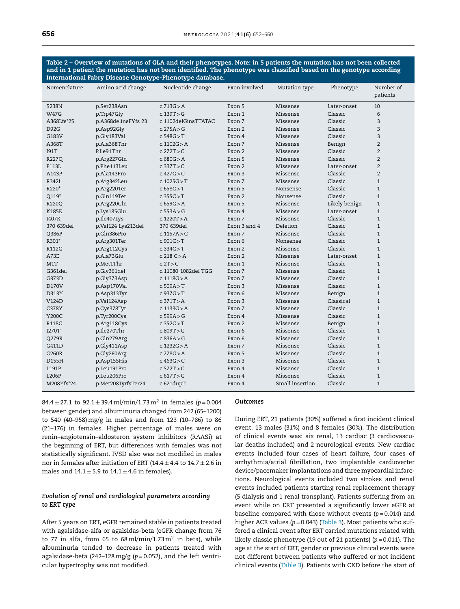<span id="page-4-0"></span>Table 2 – Overview of mutations of GLA and their phenotypes. Note: in 5 patients the mutation has not been collected and in 1 patient the mutation has not been identified. The phenotype was classified based on the genotype according International Fabry Disease Genotype-Phenotype database.

| Nomenclature           | Amino acid change   | Nucleotide change               | Exon involved | Mutation type   | Phenotype     | Number of<br>patients |
|------------------------|---------------------|---------------------------------|---------------|-----------------|---------------|-----------------------|
|                        |                     |                                 |               |                 |               |                       |
| <b>S238N</b>           | p.Ser238Asn         | c.713G > A                      | Exon 5        | Missense        | Later-onset   | 10                    |
| <b>W47G</b>            | p.Trp47Gly          | c.139T > G                      | Exon 1        | Missense        | Classic       | 6                     |
| A368Lfs*25.            | p.A368delinsFYfs 23 | c.1102delGinsTTATAC             | Exon 7        | Missense        | Classic       | $\overline{3}$        |
| <b>D92G</b>            | p.Asp92Gly          | c.275A > G                      | Exon 2        | Missense        | Classic       | $\overline{3}$        |
| G183V                  | p.Gly183Val         | c.548G > T                      | Exon 4        | Missense        | Classic       | 3                     |
| A368T                  | p.Ala368Thr         | c.1102G > A                     | Exon 7        | Missense        | Benign        | $\overline{2}$        |
| <b>I91T</b>            | P.Ile91Thr          | c.272T > C                      | Exon 2        | Missense        | Classic       | $\overline{2}$        |
| R227Q                  | p.Arg227Gln         | c.680G > A                      | Exon 5        | Missense        | Classic       | $\overline{2}$        |
| F113L                  | p.Phe113Leu         | c.337T > C                      | Exon 2        | Missense        | Later-onset   | $\overline{2}$        |
| A143P                  | p.Ala143Pro         | c.427G > C                      | Exon 3        | Missense        | Classic       | $\overline{2}$        |
| R342L                  | p.Arg342Leu         | c.1025G > T                     | Exon 7        | Missense        | Classic       | $\mathbf{1}$          |
| R220*                  | p.Arg220Ter         | c.658C > T                      | Exon 5        | Nonsense        | Classic       | $\mathbf{1}$          |
| Q119*                  | p.Gln119Ter         | c.355C > T                      | Exon 2        | Nonsense        | Classic       | $\mathbf{1}$          |
| R220Q                  | p.Arg220Gln         | c.659G > A                      | Exon 5        | Missense        | Likely benign | $\mathbf{1}$          |
| <b>K185E</b>           | p.Lys185Glu         | c.553A > G                      | Exon 4        | Missense        | Later-onset   | $\mathbf{1}$          |
| I407K                  | p.Ile407Lys         | c.1220T > A                     | Exon 7        | Missense        | Classic       | $\mathbf{1}$          |
| 370 <sub>-639del</sub> | p.Val124_Lys213del  | 370_639del                      | Exon 3 and 4  | Deletion        | Classic       | $\mathbf{1}$          |
| Q386P                  | p.Gln386Pro         | c.1157A > C                     | Exon 7        | Missense        | Classic       | $\mathbf{1}$          |
| R301*                  | p.Arg301Ter         | c.901C > T                      | Exon 6        | Nonsense        | Classic       | $\mathbf{1}$          |
| <b>R112C</b>           | p.Arg112Cys         | c.334C > T                      | Exon 2        | Missense        | Classic       | $\mathbf{1}$          |
| A73E                   | p.Ala73Glu          | c.218 C > A                     | Exon 2        | Missense        | Later-onset   | $\mathbf{1}$          |
| M1T                    | p.Met1Thr           | c.2T > C                        | Exon 1        | Missense        | Classic       | $\mathbf{1}$          |
| G361del                | p.Gly361del         | c.11080 <sub>-1082del</sub> TGG | Exon 7        | Missense        | Classic       | $\mathbf{1}$          |
| G373D                  | p.Gly373Asp         | c.1118G > A                     | Exon 7        | Missense        | Classic       | $\mathbf{1}$          |
| D170V                  | p.Asp170Val         | c.509A > T                      | Exon 3        | Missense        | Classic       | $\mathbf{1}$          |
| D313Y                  | p.Asp313Tyr         | c.937G > T                      | Exon 6        | Missense        | Benign        | $\mathbf{1}$          |
| V124D                  | p.Val124Asp         | c.371T > A                      | Exon 3        | Missense        | Classical     | $\mathbf{1}$          |
| <b>C378Y</b>           | p.Cys378Tyr         | c.1133G > A                     | Exon 7        | Missense        | Classic       | $\mathbf{1}$          |
| Y200C                  | p.Tyr200Cys         | c.599A > G                      | Exon 4        | Missense        | Classic       | $\mathbf{1}$          |
| <b>R118C</b>           | p.Arg118Cys         | c.352C > T                      | Exon 2        | Missense        | Benign        | $\mathbf{1}$          |
| <b>I270T</b>           | p.Ile270Thr         | c.809T > C                      | Exon 6        | Missense        | Classic       | $\mathbf{1}$          |
| Q279R                  | p.Gln279Arg         | c.836A > G                      | Exon 6        | Missense        | Classic       | $\mathbf{1}$          |
| G411D                  | p.Gly411Asp         | c.1232G > A                     | Exon 7        | Missense        | Classic       | $\mathbf{1}$          |
| G260R                  | p.Gly260Arg         | c.778G > A                      | Exon 5        | Missense        | Classic       | $\mathbf{1}$          |
| D155H                  | p.Asp155His         | c.463G > C                      | Exon 3        | Missense        | Classic       | $\mathbf{1}$          |
| L191P                  | p.Leu191Pro         | c.572T > C                      | Exon 4        | Missense        | Classic       | $\mathbf{1}$          |
| L206P                  | p.Leu206Pro         | c.617T > C                      | Exon 4        | Missense        | Classic       | $\mathbf{1}$          |
| M208Yfs*24.            | p.Met208TyrfsTer24  | c.621dupT                       | Exon 4        | Small insertion | Classic       | $\mathbf{1}$          |
|                        |                     |                                 |               |                 |               |                       |

84.4 ± 27.1 to 92.1 ± 39.4ml/min/1.73m<sup>2</sup> in females (*p* = 0.004 between gender) and albuminuria changed from 242 (65–1200) to 540 (40–958)mg/g in males and from 123 (10–786) to 86 (21–176) in females. Higher percentage of males were on renin–angiotensin–aldosteron system inhibitors (RAASi) at the beginning of ERT, but differences with females was not statistically significant. IVSD also was not modified in males nor in females after initiation of ERT (14.4  $\pm$  4.4 to 14.7  $\pm$  2.6 in males and  $14.1 \pm 5.9$  to  $14.1 \pm 4.6$  in females).

## *Evolution of renal and cardiological parameters according to ERT type*

After 5 years on ERT, eGFR remained stable in patients treated with agalsidase-alfa or agalsidas-beta (eGFR change from 76 to 77 in alfa, from 65 to 68 $\,$ ml/min/1.73 $\,$ m $^{2}$  in beta), while albuminuria tended to decrease in patients treated with agalsidase-beta (242–128mg/g (*p* = 0.052), and the left ventricular hypertrophy was not modified.

### *Outcomes*

During ERT, 21 patients (30%) suffered a first incident clinical event: 13 males (31%) and 8 females (30%). The distribution of clinical events was: six renal, 13 cardiac (3 cardiovascular deaths included) and 2 neurological events. New cardiac events included four cases of heart failure, four cases of arrhythmia/atrial fibrillation, two implantable cardioverter device/pacemaker implantations and three myocardial infarctions. Neurological events included two strokes and renal events included patients starting renal replacement therapy (5 dialysis and 1 renal transplant). Patients suffering from an event while on ERT presented a significantly lower eGFR at baseline compared with those without events (*p* = 0.014) and higher ACR values (p = 0.043) [\(Table](#page-5-0) 3). Most patients who suffered a clinical event after ERT carried mutations related with likely classic phenotype (19 out of 21 patients) (*p* = 0.011). The age at the start of ERT, gender or previous clinical events were not different between patients who suffered or not incident clinical events [\(Table](#page-5-0) 3). Patients with CKD before the start of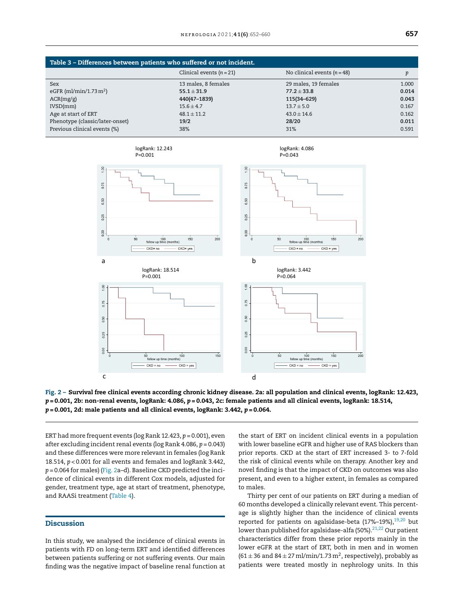<span id="page-5-0"></span>

| Table 3 – Differences between patients who suffered or not incident. |                          |                             |       |  |
|----------------------------------------------------------------------|--------------------------|-----------------------------|-------|--|
|                                                                      | Clinical events $(n=21)$ | No clinical events $(n=48)$ | n     |  |
| <b>Sex</b>                                                           | 13 males, 8 females      | 29 males, 19 females        | 1.000 |  |
| eGFR (ml/min/1.73 $m2$ )                                             | $55.1 \pm 31.9$          | $77.2 \pm 33.8$             | 0.014 |  |
| ACR(mg/g)                                                            | 440(47-1839)             | 115(34-629)                 | 0.043 |  |
| IVSD/mm                                                              | $15.6 \pm 4.7$           | $13.7 \pm 5.0$              | 0.167 |  |
| Age at start of ERT                                                  | $48.1 \pm 11.2$          | $43.0 \pm 14.6$             | 0.162 |  |
| Phenotype (classic/later-onset)                                      | 19/2                     | 28/20                       | 0.011 |  |
| Previous clinical events (%)                                         | 38%                      | 31%                         | 0.591 |  |



Fig. 2 – Survival free clinical events according chronic kidney disease. 2a: all population and clinical events, logRank: 12.423, *p* = 0.001, 2b: non-renal events, logRank: 4.086, *p* = 0.043, 2c: female patients and all clinical events, logRank: 18.514, *p* = 0.001, 2d: male patients and all clinical events, logRank: 3.442, *p* = 0.064.

ERT had more frequent events (log Rank 12.423, *p* = 0.001), even after excluding incident renal events (log Rank 4.086, *p* = 0.043) and these differences were more relevant in females (log Rank 18.514, *p* < 0.001 for all events and females and logRank 3.442, *p* = 0.064 for males) (Fig. 2a–d). Baseline CKD predicted the incidence of clinical events in different Cox models, adjusted for gender, treatment type, age at start of treatment, phenotype, and RAASi treatment ([Table](#page-6-0) 4).

## **Discussion**

In this study, we analysed the incidence of clinical events in patients with FD on long-term ERT and identified differences between patients suffering or not suffering events. Our main finding was the negative impact of baseline renal function at the start of ERT on incident clinical events in a population with lower baseline eGFR and higher use of RAS blockers than prior reports. CKD at the start of ERT increased 3- to 7-fold the risk of clinical events while on therapy. Another key and novel finding is that the impact of CKD on outcomes was also present, and even to a higher extent, in females as compared to males.

Thirty per cent of our patients on ERT during a median of 60 months developed a clinically relevant event. This percentage is slightly higher than the incidence of clinical events reported for patients on agalsidase-beta (17%-19%), $19,20$  but lower than published for agalsidase-alfa (50%).<sup>[21,22](#page-8-0)</sup> Our patient characteristics differ from these prior reports mainly in the lower eGFR at the start of ERT, both in men and in women (61  $\pm$  36 and 84  $\pm$  27 ml/min/1.73 m<sup>2</sup>, respectively), probably as patients were treated mostly in nephrology units. In this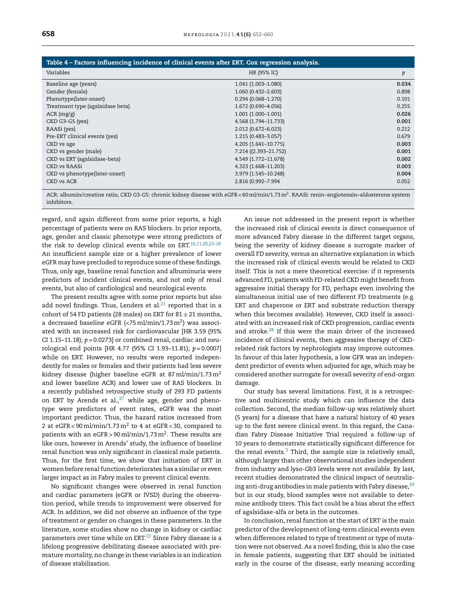<span id="page-6-0"></span>

| Table 4 – Factors influencing incidence of clinical events after ERT. Cox regression analysis. |                        |       |  |  |
|------------------------------------------------------------------------------------------------|------------------------|-------|--|--|
| Variables                                                                                      | HR (95% IC)            | p     |  |  |
| Baseline age (years)                                                                           | 1.041 (1.003-1.080)    | 0.034 |  |  |
| Gender (female)                                                                                | 1.060 (0.432-2.603)    | 0.898 |  |  |
| Phenotype(later-onset)                                                                         | $0.294(0.068 - 1.270)$ | 0.101 |  |  |
| Treatment type (agalsidase beta)                                                               | 1.672 (0.690-4.056)    | 0.255 |  |  |
| $ACR$ (mg/g)                                                                                   | $1.001(1.000 - 1.001)$ | 0.026 |  |  |
| CKD G3-G5 (yes)                                                                                | 4.568 (1.794-11.733)   | 0.001 |  |  |
| RAASi (yes)                                                                                    | 2.012 (0.672-6.023)    | 0.212 |  |  |
| Pre-ERT clinical events (yes)                                                                  | 1.215 (0.483-3.057)    | 0.679 |  |  |
| CKD vs age                                                                                     | 4.205 (1.641-10.775)   | 0.003 |  |  |
| CKD vs gender (male)                                                                           | 7.214 ((2.393-21.752)  | 0.001 |  |  |
| CKD vs ERT (agalsidase-beta)                                                                   | 4.549 (1.772-11.678)   | 0.002 |  |  |
| CKD vs RAASi                                                                                   | 4.323 (1.668-11.203)   | 0.003 |  |  |
| CKD vs phenotype(later-onset)                                                                  | 3.979 (1.545-10.248)   | 0.004 |  |  |
| CKD vs ACR                                                                                     | 2.816 (0.992-7.994     | 0.052 |  |  |

ACR: albumin/creatine ratio, CKD G3-G5: chronic kidney disease with eGFR < 60 ml/min/1.73 m<sup>2</sup>. RAASi: renin–angiotensin–aldosterone system inhibitors.

regard, and again different from some prior reports, a high percentage of patients were on RAS blockers. In prior reports, age, gender and classic phenotype were strong predictors of the risk to develop clinical events while on ERT.<sup>10,11,20,23-26</sup> An insufficient sample size or a higher prevalence of lower eGFR may have precluded to reproduce some of these findings. Thus, only age, baseline renal function and albuminuria were predictors of incident clinical events, and not only of renal events, but also of cardiological and neurological events.

The present results agree with some prior reports but also add novel findings. Thus, Lenders et al. $21$  reported that in a cohort of 54 FD patients (28 males) on ERT for  $81 \pm 21$  months, a decreased baseline eGFR (<75 ml/min/1.73 m $^2)$  was associated with an increased risk for cardiovascular [HR 3.59 (95% CI 1.15–11.18); *p* = 0.0273] or combined renal, cardiac and neurological end points [HR 4.77 (95% CI 1.93–11.81); *p* = 0.0007] while on ERT. However, no results were reported independently for males or females and their patients had less severe kidney disease (higher baseline eGFR at 87 ml/min/1.73 m<sup>2</sup> and lower baseline ACR) and lower use of RAS blockers. In a recently published retrospective study of 293 FD patients on ERT by Arends et al., $27$  while age, gender and phenotype were predictors of event rates, eGFR was the most important predictor. Thus, the hazard ratios increased from 2 at eGFR<90 ml/min/1.73 m $^2$  to 4 at eGFR<30, compared to patients with an eGFR>90 ml/min/1.73 m $^2$ . These results are like ours, however in Arends' study, the influence of baseline renal function was only significant in classical male patients. Thus, for the first time, we show that initiation of ERT in women before renal function deteriorates has a similar or even larger impact as in Fabry males to prevent clinical events.

No significant changes were observed in renal function and cardiac parameters (eGFR or IVSD) during the observation period, while trends to improvement were observed for ACR. In addition, we did not observe an influence of the type of treatment or gender on changes in these parameters. In the literature, some studies show no change in kidney or cardiac parameters over time while on ERT.<sup>[22](#page-8-0)</sup> Since Fabry disease is a lifelong progressive debilitating disease associated with premature mortality, no change in these variables is an indication of disease stabilisation.

An issue not addressed in the present report is whether the increased risk of clinical events is direct consequence of more advanced Fabry disease in the different target organs, being the severity of kidney disease a surrogate marker of overall FD severity, versus an alternative explanation in which the increased risk of clinical events would be related to CKD itself. This is not a mere theoretical exercise: if it represents advanced FD, patients with FD-related CKD might benefit from aggressive initial therapy for FD, perhaps even involving the simultaneous initial use of two different FD treatments (e.g. ERT and chaperone or ERT and substrate reduction therapy when this becomes available). However, CKD itself is associated with an increased risk of CKD progression, cardiac events and stroke.[28](#page-8-0) If this were the main driver of the increased incidence of clinical events, then aggressive therapy of CKDrelated risk factors by nephrologists may improve outcomes. In favour of this later hypothesis, a low GFR was an independent predictor of events when adjusted for age, which may be considered another surrogate for overall severity of end-organ damage.

Our study has several limitations. First, it is a retrospective and multicentric study which can influence the data collection. Second, the median follow-up was relatively short (5 years) for a disease that have a natural history of 40 years up to the first severe clinical event. In this regard, the Canadian Fabry Disease Initiative Trial required a follow-up of 10 years to demonstrate statistically significant difference for the renal events.<sup>[3](#page-7-0)</sup> Third, the sample size is relatively small, although larger than other observational studies independent from industry and lyso-Gb3 levels were not available. By last, recent studies demonstrated the clinical impact of neutralizing anti-drug antibodies in male patients with Fabry disease, $^{29}$  $^{29}$  $^{29}$ but in our study, blood samples were not available to determine antibody titers. This fact could be a bias about the effect of agalsidase-alfa or beta in the outcomes.

In conclusion, renal function at the start of ERT is the main predictor of the development of long-term clinical events even when differences related to type of treatment or type of mutation were not observed. As a novel finding, this is also the case in female patients, suggesting that ERT should be initiated early in the course of the disease, early meaning according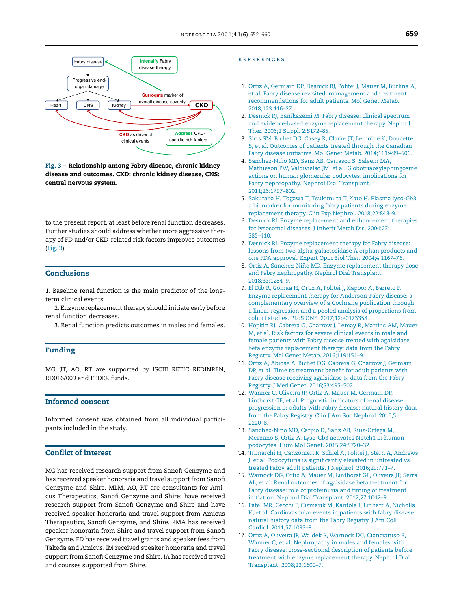<span id="page-7-0"></span>

Fig. 3 – Relationship among Fabry disease, chronic kidney disease and outcomes. CKD: chronic kidney disease, CNS: central nervous system.

to the present report, at least before renal function decreases. Further studies should address whether more aggressive therapy of FD and/or CKD-related risk factors improves outcomes (Fig. 3).

## **Conclusions**

1. Baseline renal function is the main predictor of the longterm clinical events.

2. Enzyme replacement therapy should initiate early before renal function decreases.

3. Renal function predicts outcomes in males and females.

## Funding

MG, JT, AO, RT are supported by ISCIII RETIC REDINREN, RD016/009 and FEDER funds.

## Informed consent

Informed consent was obtained from all individual participants included in the study.

## Conflict of interest

MG has received research support from Sanofi Genzyme and has received speaker honoraria and travel support from Sanofi Genzyme and Shire. MLM, AO, RT are consultants for Amicus Therapeutics, Sanofi Genzyme and Shire; have received research support from Sanofi Genzyme and Shire and have received speaker honoraria and travel support from Amicus Therapeutics, Sanofi Genzyme, and Shire. RMA has received speaker honoraria from Shire and travel support from Sanofi Genzyme. FD has received travel grants and speaker fees from Takeda and Amicus. IM received speaker honoraria and travel support from Sanofi Genzyme and Shire. IA has received travel and courses supported from Shire.

#### r e f e r enc e s

- 1. [Ortiz](http://refhub.elsevier.com/S0211-6995(21)00031-X/sbref0150) [A,](http://refhub.elsevier.com/S0211-6995(21)00031-X/sbref0150) [Germain](http://refhub.elsevier.com/S0211-6995(21)00031-X/sbref0150) [DP,](http://refhub.elsevier.com/S0211-6995(21)00031-X/sbref0150) [Desnick](http://refhub.elsevier.com/S0211-6995(21)00031-X/sbref0150) [RJ,](http://refhub.elsevier.com/S0211-6995(21)00031-X/sbref0150) [Politei](http://refhub.elsevier.com/S0211-6995(21)00031-X/sbref0150) [J,](http://refhub.elsevier.com/S0211-6995(21)00031-X/sbref0150) [Mauer](http://refhub.elsevier.com/S0211-6995(21)00031-X/sbref0150) [M,](http://refhub.elsevier.com/S0211-6995(21)00031-X/sbref0150) [Burlina](http://refhub.elsevier.com/S0211-6995(21)00031-X/sbref0150) [A,](http://refhub.elsevier.com/S0211-6995(21)00031-X/sbref0150) [et](http://refhub.elsevier.com/S0211-6995(21)00031-X/sbref0150) [al.](http://refhub.elsevier.com/S0211-6995(21)00031-X/sbref0150) [Fabry](http://refhub.elsevier.com/S0211-6995(21)00031-X/sbref0150) [disease](http://refhub.elsevier.com/S0211-6995(21)00031-X/sbref0150) [revisited:](http://refhub.elsevier.com/S0211-6995(21)00031-X/sbref0150) [management](http://refhub.elsevier.com/S0211-6995(21)00031-X/sbref0150) [and](http://refhub.elsevier.com/S0211-6995(21)00031-X/sbref0150) [treatment](http://refhub.elsevier.com/S0211-6995(21)00031-X/sbref0150) [recommendations](http://refhub.elsevier.com/S0211-6995(21)00031-X/sbref0150) [for](http://refhub.elsevier.com/S0211-6995(21)00031-X/sbref0150) [adult](http://refhub.elsevier.com/S0211-6995(21)00031-X/sbref0150) [patients.](http://refhub.elsevier.com/S0211-6995(21)00031-X/sbref0150) [Mol](http://refhub.elsevier.com/S0211-6995(21)00031-X/sbref0150) [Genet](http://refhub.elsevier.com/S0211-6995(21)00031-X/sbref0150) [Metab.](http://refhub.elsevier.com/S0211-6995(21)00031-X/sbref0150) [2018;123:416–27.](http://refhub.elsevier.com/S0211-6995(21)00031-X/sbref0150)
- 2. [Desnick](http://refhub.elsevier.com/S0211-6995(21)00031-X/sbref0155) [RJ,](http://refhub.elsevier.com/S0211-6995(21)00031-X/sbref0155) [Banikazemi](http://refhub.elsevier.com/S0211-6995(21)00031-X/sbref0155) [M.](http://refhub.elsevier.com/S0211-6995(21)00031-X/sbref0155) [Fabry](http://refhub.elsevier.com/S0211-6995(21)00031-X/sbref0155) [disease:](http://refhub.elsevier.com/S0211-6995(21)00031-X/sbref0155) [clinical](http://refhub.elsevier.com/S0211-6995(21)00031-X/sbref0155) [spectrum](http://refhub.elsevier.com/S0211-6995(21)00031-X/sbref0155) [and](http://refhub.elsevier.com/S0211-6995(21)00031-X/sbref0155) [evidence-based](http://refhub.elsevier.com/S0211-6995(21)00031-X/sbref0155) [enzyme](http://refhub.elsevier.com/S0211-6995(21)00031-X/sbref0155) [replacement](http://refhub.elsevier.com/S0211-6995(21)00031-X/sbref0155) [therapy.](http://refhub.elsevier.com/S0211-6995(21)00031-X/sbref0155) [Nephrol](http://refhub.elsevier.com/S0211-6995(21)00031-X/sbref0155) [Ther.](http://refhub.elsevier.com/S0211-6995(21)00031-X/sbref0155) [2006;2](http://refhub.elsevier.com/S0211-6995(21)00031-X/sbref0155) [Suppl.](http://refhub.elsevier.com/S0211-6995(21)00031-X/sbref0155) [2:S172](http://refhub.elsevier.com/S0211-6995(21)00031-X/sbref0155)–[85.](http://refhub.elsevier.com/S0211-6995(21)00031-X/sbref0155)
- 3. [Sirrs](http://refhub.elsevier.com/S0211-6995(21)00031-X/sbref0160) [SM,](http://refhub.elsevier.com/S0211-6995(21)00031-X/sbref0160) [Bichet](http://refhub.elsevier.com/S0211-6995(21)00031-X/sbref0160) [DG,](http://refhub.elsevier.com/S0211-6995(21)00031-X/sbref0160) [Casey](http://refhub.elsevier.com/S0211-6995(21)00031-X/sbref0160) [R,](http://refhub.elsevier.com/S0211-6995(21)00031-X/sbref0160) [Clarke](http://refhub.elsevier.com/S0211-6995(21)00031-X/sbref0160) [JT,](http://refhub.elsevier.com/S0211-6995(21)00031-X/sbref0160) [Lemoine](http://refhub.elsevier.com/S0211-6995(21)00031-X/sbref0160) [K,](http://refhub.elsevier.com/S0211-6995(21)00031-X/sbref0160) [Doucette](http://refhub.elsevier.com/S0211-6995(21)00031-X/sbref0160) [S,](http://refhub.elsevier.com/S0211-6995(21)00031-X/sbref0160) [et](http://refhub.elsevier.com/S0211-6995(21)00031-X/sbref0160) [al.](http://refhub.elsevier.com/S0211-6995(21)00031-X/sbref0160) [Outcomes](http://refhub.elsevier.com/S0211-6995(21)00031-X/sbref0160) [of](http://refhub.elsevier.com/S0211-6995(21)00031-X/sbref0160) [patients](http://refhub.elsevier.com/S0211-6995(21)00031-X/sbref0160) [treated](http://refhub.elsevier.com/S0211-6995(21)00031-X/sbref0160) [through](http://refhub.elsevier.com/S0211-6995(21)00031-X/sbref0160) [the](http://refhub.elsevier.com/S0211-6995(21)00031-X/sbref0160) [Canadian](http://refhub.elsevier.com/S0211-6995(21)00031-X/sbref0160) [Fabry](http://refhub.elsevier.com/S0211-6995(21)00031-X/sbref0160) [disease](http://refhub.elsevier.com/S0211-6995(21)00031-X/sbref0160) [initiative](http://refhub.elsevier.com/S0211-6995(21)00031-X/sbref0160). [Mol](http://refhub.elsevier.com/S0211-6995(21)00031-X/sbref0160) [Genet](http://refhub.elsevier.com/S0211-6995(21)00031-X/sbref0160) [Metab.](http://refhub.elsevier.com/S0211-6995(21)00031-X/sbref0160) [2014;111:499–506.](http://refhub.elsevier.com/S0211-6995(21)00031-X/sbref0160)
- 4. Sanchez-Niño [MD,](http://refhub.elsevier.com/S0211-6995(21)00031-X/sbref0165) [Sanz](http://refhub.elsevier.com/S0211-6995(21)00031-X/sbref0165) [AB,](http://refhub.elsevier.com/S0211-6995(21)00031-X/sbref0165) [Carrasco](http://refhub.elsevier.com/S0211-6995(21)00031-X/sbref0165) [S,](http://refhub.elsevier.com/S0211-6995(21)00031-X/sbref0165) [Saleem](http://refhub.elsevier.com/S0211-6995(21)00031-X/sbref0165) [MA,](http://refhub.elsevier.com/S0211-6995(21)00031-X/sbref0165) [Mathieson](http://refhub.elsevier.com/S0211-6995(21)00031-X/sbref0165) [PW,](http://refhub.elsevier.com/S0211-6995(21)00031-X/sbref0165) [Valdivielso](http://refhub.elsevier.com/S0211-6995(21)00031-X/sbref0165) [JM,](http://refhub.elsevier.com/S0211-6995(21)00031-X/sbref0165) [et](http://refhub.elsevier.com/S0211-6995(21)00031-X/sbref0165) [al.](http://refhub.elsevier.com/S0211-6995(21)00031-X/sbref0165) [Globotriaosylsphingosine](http://refhub.elsevier.com/S0211-6995(21)00031-X/sbref0165) [actions](http://refhub.elsevier.com/S0211-6995(21)00031-X/sbref0165) [on](http://refhub.elsevier.com/S0211-6995(21)00031-X/sbref0165) [human](http://refhub.elsevier.com/S0211-6995(21)00031-X/sbref0165) [glomerular](http://refhub.elsevier.com/S0211-6995(21)00031-X/sbref0165) [podocytes:](http://refhub.elsevier.com/S0211-6995(21)00031-X/sbref0165) [implications](http://refhub.elsevier.com/S0211-6995(21)00031-X/sbref0165) [for](http://refhub.elsevier.com/S0211-6995(21)00031-X/sbref0165) [Fabry](http://refhub.elsevier.com/S0211-6995(21)00031-X/sbref0165) [nephropathy.](http://refhub.elsevier.com/S0211-6995(21)00031-X/sbref0165) [Nephrol](http://refhub.elsevier.com/S0211-6995(21)00031-X/sbref0165) [Dial](http://refhub.elsevier.com/S0211-6995(21)00031-X/sbref0165) [Transplant.](http://refhub.elsevier.com/S0211-6995(21)00031-X/sbref0165) [2011;26:1797–802.](http://refhub.elsevier.com/S0211-6995(21)00031-X/sbref0165)
- 5. [Sakuraba](http://refhub.elsevier.com/S0211-6995(21)00031-X/sbref0170) [H,](http://refhub.elsevier.com/S0211-6995(21)00031-X/sbref0170) [Togawa](http://refhub.elsevier.com/S0211-6995(21)00031-X/sbref0170) [T,](http://refhub.elsevier.com/S0211-6995(21)00031-X/sbref0170) [Tsukimura](http://refhub.elsevier.com/S0211-6995(21)00031-X/sbref0170) [T,](http://refhub.elsevier.com/S0211-6995(21)00031-X/sbref0170) [Kato](http://refhub.elsevier.com/S0211-6995(21)00031-X/sbref0170) [H.](http://refhub.elsevier.com/S0211-6995(21)00031-X/sbref0170) [Plasma](http://refhub.elsevier.com/S0211-6995(21)00031-X/sbref0170) [lyso-Gb3:](http://refhub.elsevier.com/S0211-6995(21)00031-X/sbref0170) [a](http://refhub.elsevier.com/S0211-6995(21)00031-X/sbref0170) [biomarker](http://refhub.elsevier.com/S0211-6995(21)00031-X/sbref0170) [for](http://refhub.elsevier.com/S0211-6995(21)00031-X/sbref0170) [monitoring](http://refhub.elsevier.com/S0211-6995(21)00031-X/sbref0170) [fabry](http://refhub.elsevier.com/S0211-6995(21)00031-X/sbref0170) [patients](http://refhub.elsevier.com/S0211-6995(21)00031-X/sbref0170) [during](http://refhub.elsevier.com/S0211-6995(21)00031-X/sbref0170) [enzyme](http://refhub.elsevier.com/S0211-6995(21)00031-X/sbref0170) [replacement](http://refhub.elsevier.com/S0211-6995(21)00031-X/sbref0170) [therapy.](http://refhub.elsevier.com/S0211-6995(21)00031-X/sbref0170) [Clin](http://refhub.elsevier.com/S0211-6995(21)00031-X/sbref0170) [Exp](http://refhub.elsevier.com/S0211-6995(21)00031-X/sbref0170) [Nephrol.](http://refhub.elsevier.com/S0211-6995(21)00031-X/sbref0170) [2018;22:843–9.](http://refhub.elsevier.com/S0211-6995(21)00031-X/sbref0170)
- 6. [Desnick](http://refhub.elsevier.com/S0211-6995(21)00031-X/sbref0175) [RJ](http://refhub.elsevier.com/S0211-6995(21)00031-X/sbref0175). [Enzyme](http://refhub.elsevier.com/S0211-6995(21)00031-X/sbref0175) [replacement](http://refhub.elsevier.com/S0211-6995(21)00031-X/sbref0175) [and](http://refhub.elsevier.com/S0211-6995(21)00031-X/sbref0175) [enhancement](http://refhub.elsevier.com/S0211-6995(21)00031-X/sbref0175) [therapies](http://refhub.elsevier.com/S0211-6995(21)00031-X/sbref0175) [for](http://refhub.elsevier.com/S0211-6995(21)00031-X/sbref0175) [lysosomal](http://refhub.elsevier.com/S0211-6995(21)00031-X/sbref0175) [diseases.](http://refhub.elsevier.com/S0211-6995(21)00031-X/sbref0175) [J](http://refhub.elsevier.com/S0211-6995(21)00031-X/sbref0175) [Inherit](http://refhub.elsevier.com/S0211-6995(21)00031-X/sbref0175) [Metab](http://refhub.elsevier.com/S0211-6995(21)00031-X/sbref0175) [Dis.](http://refhub.elsevier.com/S0211-6995(21)00031-X/sbref0175) [2004;27:](http://refhub.elsevier.com/S0211-6995(21)00031-X/sbref0175) [385–410.](http://refhub.elsevier.com/S0211-6995(21)00031-X/sbref0175)
- 7. [Desnick](http://refhub.elsevier.com/S0211-6995(21)00031-X/sbref0180) [RJ.](http://refhub.elsevier.com/S0211-6995(21)00031-X/sbref0180) [Enzyme](http://refhub.elsevier.com/S0211-6995(21)00031-X/sbref0180) [replacement](http://refhub.elsevier.com/S0211-6995(21)00031-X/sbref0180) [therapy](http://refhub.elsevier.com/S0211-6995(21)00031-X/sbref0180) [for](http://refhub.elsevier.com/S0211-6995(21)00031-X/sbref0180) [Fabry](http://refhub.elsevier.com/S0211-6995(21)00031-X/sbref0180) [disease:](http://refhub.elsevier.com/S0211-6995(21)00031-X/sbref0180) [lessons](http://refhub.elsevier.com/S0211-6995(21)00031-X/sbref0180) [from](http://refhub.elsevier.com/S0211-6995(21)00031-X/sbref0180) [two](http://refhub.elsevier.com/S0211-6995(21)00031-X/sbref0180) [alpha-galactosidase](http://refhub.elsevier.com/S0211-6995(21)00031-X/sbref0180) [A](http://refhub.elsevier.com/S0211-6995(21)00031-X/sbref0180) [orphan](http://refhub.elsevier.com/S0211-6995(21)00031-X/sbref0180) [products](http://refhub.elsevier.com/S0211-6995(21)00031-X/sbref0180) [and](http://refhub.elsevier.com/S0211-6995(21)00031-X/sbref0180) [one](http://refhub.elsevier.com/S0211-6995(21)00031-X/sbref0180) [FDA](http://refhub.elsevier.com/S0211-6995(21)00031-X/sbref0180) [approval.](http://refhub.elsevier.com/S0211-6995(21)00031-X/sbref0180) [Expert](http://refhub.elsevier.com/S0211-6995(21)00031-X/sbref0180) [Opin](http://refhub.elsevier.com/S0211-6995(21)00031-X/sbref0180) [Biol](http://refhub.elsevier.com/S0211-6995(21)00031-X/sbref0180) [Ther.](http://refhub.elsevier.com/S0211-6995(21)00031-X/sbref0180) [2004;4:1167](http://refhub.elsevier.com/S0211-6995(21)00031-X/sbref0180)–[76.](http://refhub.elsevier.com/S0211-6995(21)00031-X/sbref0180)
- 8. [Ortiz](http://refhub.elsevier.com/S0211-6995(21)00031-X/sbref0185) [A,](http://refhub.elsevier.com/S0211-6995(21)00031-X/sbref0185) Sanchez-Niño [MD.](http://refhub.elsevier.com/S0211-6995(21)00031-X/sbref0185) [Enzyme](http://refhub.elsevier.com/S0211-6995(21)00031-X/sbref0185) [replacement](http://refhub.elsevier.com/S0211-6995(21)00031-X/sbref0185) [therapy](http://refhub.elsevier.com/S0211-6995(21)00031-X/sbref0185) [dose](http://refhub.elsevier.com/S0211-6995(21)00031-X/sbref0185) [and](http://refhub.elsevier.com/S0211-6995(21)00031-X/sbref0185) [Fabry](http://refhub.elsevier.com/S0211-6995(21)00031-X/sbref0185) [nephropathy.](http://refhub.elsevier.com/S0211-6995(21)00031-X/sbref0185) [Nephrol](http://refhub.elsevier.com/S0211-6995(21)00031-X/sbref0185) [Dial](http://refhub.elsevier.com/S0211-6995(21)00031-X/sbref0185) [Transplant.](http://refhub.elsevier.com/S0211-6995(21)00031-X/sbref0185) [2018;33:1284–9.](http://refhub.elsevier.com/S0211-6995(21)00031-X/sbref0185)
- 9. [El](http://refhub.elsevier.com/S0211-6995(21)00031-X/sbref0190) [Dib](http://refhub.elsevier.com/S0211-6995(21)00031-X/sbref0190) [R,](http://refhub.elsevier.com/S0211-6995(21)00031-X/sbref0190) [Gomaa](http://refhub.elsevier.com/S0211-6995(21)00031-X/sbref0190) [H,](http://refhub.elsevier.com/S0211-6995(21)00031-X/sbref0190) [Ortiz](http://refhub.elsevier.com/S0211-6995(21)00031-X/sbref0190) [A,](http://refhub.elsevier.com/S0211-6995(21)00031-X/sbref0190) [Politei](http://refhub.elsevier.com/S0211-6995(21)00031-X/sbref0190) [J,](http://refhub.elsevier.com/S0211-6995(21)00031-X/sbref0190) [Kapoor](http://refhub.elsevier.com/S0211-6995(21)00031-X/sbref0190) [A,](http://refhub.elsevier.com/S0211-6995(21)00031-X/sbref0190) [Barreto](http://refhub.elsevier.com/S0211-6995(21)00031-X/sbref0190) [F.](http://refhub.elsevier.com/S0211-6995(21)00031-X/sbref0190) [Enzyme](http://refhub.elsevier.com/S0211-6995(21)00031-X/sbref0190) [replacement](http://refhub.elsevier.com/S0211-6995(21)00031-X/sbref0190) [therapy](http://refhub.elsevier.com/S0211-6995(21)00031-X/sbref0190) [for](http://refhub.elsevier.com/S0211-6995(21)00031-X/sbref0190) [Anderson-Fabry](http://refhub.elsevier.com/S0211-6995(21)00031-X/sbref0190) [disease:](http://refhub.elsevier.com/S0211-6995(21)00031-X/sbref0190) [a](http://refhub.elsevier.com/S0211-6995(21)00031-X/sbref0190) [complementary](http://refhub.elsevier.com/S0211-6995(21)00031-X/sbref0190) [overview](http://refhub.elsevier.com/S0211-6995(21)00031-X/sbref0190) [of](http://refhub.elsevier.com/S0211-6995(21)00031-X/sbref0190) [a](http://refhub.elsevier.com/S0211-6995(21)00031-X/sbref0190) [Cochrane](http://refhub.elsevier.com/S0211-6995(21)00031-X/sbref0190) [publication](http://refhub.elsevier.com/S0211-6995(21)00031-X/sbref0190) [through](http://refhub.elsevier.com/S0211-6995(21)00031-X/sbref0190) [a](http://refhub.elsevier.com/S0211-6995(21)00031-X/sbref0190) [linear](http://refhub.elsevier.com/S0211-6995(21)00031-X/sbref0190) [regression](http://refhub.elsevier.com/S0211-6995(21)00031-X/sbref0190) [and](http://refhub.elsevier.com/S0211-6995(21)00031-X/sbref0190) [a](http://refhub.elsevier.com/S0211-6995(21)00031-X/sbref0190) [pooled](http://refhub.elsevier.com/S0211-6995(21)00031-X/sbref0190) [analysis](http://refhub.elsevier.com/S0211-6995(21)00031-X/sbref0190) [of](http://refhub.elsevier.com/S0211-6995(21)00031-X/sbref0190) [proportions](http://refhub.elsevier.com/S0211-6995(21)00031-X/sbref0190) [from](http://refhub.elsevier.com/S0211-6995(21)00031-X/sbref0190) [cohort](http://refhub.elsevier.com/S0211-6995(21)00031-X/sbref0190) [studies.](http://refhub.elsevier.com/S0211-6995(21)00031-X/sbref0190) [PLoS](http://refhub.elsevier.com/S0211-6995(21)00031-X/sbref0190) [ONE.](http://refhub.elsevier.com/S0211-6995(21)00031-X/sbref0190) [2017;12:e0173358.](http://refhub.elsevier.com/S0211-6995(21)00031-X/sbref0190)
- 10. [Hopkin](http://refhub.elsevier.com/S0211-6995(21)00031-X/sbref0195) [RJ,](http://refhub.elsevier.com/S0211-6995(21)00031-X/sbref0195) [Cabrera](http://refhub.elsevier.com/S0211-6995(21)00031-X/sbref0195) [G,](http://refhub.elsevier.com/S0211-6995(21)00031-X/sbref0195) [Charrow](http://refhub.elsevier.com/S0211-6995(21)00031-X/sbref0195) [J,](http://refhub.elsevier.com/S0211-6995(21)00031-X/sbref0195) [Lemay](http://refhub.elsevier.com/S0211-6995(21)00031-X/sbref0195) [R,](http://refhub.elsevier.com/S0211-6995(21)00031-X/sbref0195) [Martins](http://refhub.elsevier.com/S0211-6995(21)00031-X/sbref0195) [AM,](http://refhub.elsevier.com/S0211-6995(21)00031-X/sbref0195) [Mauer](http://refhub.elsevier.com/S0211-6995(21)00031-X/sbref0195) [M,](http://refhub.elsevier.com/S0211-6995(21)00031-X/sbref0195) [et](http://refhub.elsevier.com/S0211-6995(21)00031-X/sbref0195) [al.](http://refhub.elsevier.com/S0211-6995(21)00031-X/sbref0195) [Risk](http://refhub.elsevier.com/S0211-6995(21)00031-X/sbref0195) [factors](http://refhub.elsevier.com/S0211-6995(21)00031-X/sbref0195) [for](http://refhub.elsevier.com/S0211-6995(21)00031-X/sbref0195) [severe](http://refhub.elsevier.com/S0211-6995(21)00031-X/sbref0195) [clinical](http://refhub.elsevier.com/S0211-6995(21)00031-X/sbref0195) [events](http://refhub.elsevier.com/S0211-6995(21)00031-X/sbref0195) [in](http://refhub.elsevier.com/S0211-6995(21)00031-X/sbref0195) [male](http://refhub.elsevier.com/S0211-6995(21)00031-X/sbref0195) [and](http://refhub.elsevier.com/S0211-6995(21)00031-X/sbref0195) [female](http://refhub.elsevier.com/S0211-6995(21)00031-X/sbref0195) [patients](http://refhub.elsevier.com/S0211-6995(21)00031-X/sbref0195) [with](http://refhub.elsevier.com/S0211-6995(21)00031-X/sbref0195) [Fabry](http://refhub.elsevier.com/S0211-6995(21)00031-X/sbref0195) [disease](http://refhub.elsevier.com/S0211-6995(21)00031-X/sbref0195) [treated](http://refhub.elsevier.com/S0211-6995(21)00031-X/sbref0195) [with](http://refhub.elsevier.com/S0211-6995(21)00031-X/sbref0195) [agalsidase](http://refhub.elsevier.com/S0211-6995(21)00031-X/sbref0195) [beta](http://refhub.elsevier.com/S0211-6995(21)00031-X/sbref0195) [enzyme](http://refhub.elsevier.com/S0211-6995(21)00031-X/sbref0195) [replacement](http://refhub.elsevier.com/S0211-6995(21)00031-X/sbref0195) [therapy:](http://refhub.elsevier.com/S0211-6995(21)00031-X/sbref0195) [data](http://refhub.elsevier.com/S0211-6995(21)00031-X/sbref0195) [from](http://refhub.elsevier.com/S0211-6995(21)00031-X/sbref0195) [the](http://refhub.elsevier.com/S0211-6995(21)00031-X/sbref0195) [Fabry](http://refhub.elsevier.com/S0211-6995(21)00031-X/sbref0195) [Registry.](http://refhub.elsevier.com/S0211-6995(21)00031-X/sbref0195) [Mol](http://refhub.elsevier.com/S0211-6995(21)00031-X/sbref0195) [Genet](http://refhub.elsevier.com/S0211-6995(21)00031-X/sbref0195) [Metab.](http://refhub.elsevier.com/S0211-6995(21)00031-X/sbref0195) [2016;119:151–9.](http://refhub.elsevier.com/S0211-6995(21)00031-X/sbref0195)
- 11. [Ortiz](http://refhub.elsevier.com/S0211-6995(21)00031-X/sbref0200) [A,](http://refhub.elsevier.com/S0211-6995(21)00031-X/sbref0200) [Abiose](http://refhub.elsevier.com/S0211-6995(21)00031-X/sbref0200) [A,](http://refhub.elsevier.com/S0211-6995(21)00031-X/sbref0200) [Bichet](http://refhub.elsevier.com/S0211-6995(21)00031-X/sbref0200) [DG,](http://refhub.elsevier.com/S0211-6995(21)00031-X/sbref0200) [Cabrera](http://refhub.elsevier.com/S0211-6995(21)00031-X/sbref0200) [G,](http://refhub.elsevier.com/S0211-6995(21)00031-X/sbref0200) [Charrow](http://refhub.elsevier.com/S0211-6995(21)00031-X/sbref0200) [J,](http://refhub.elsevier.com/S0211-6995(21)00031-X/sbref0200) [Germain](http://refhub.elsevier.com/S0211-6995(21)00031-X/sbref0200) [DP,](http://refhub.elsevier.com/S0211-6995(21)00031-X/sbref0200) [et](http://refhub.elsevier.com/S0211-6995(21)00031-X/sbref0200) [al.](http://refhub.elsevier.com/S0211-6995(21)00031-X/sbref0200) [Time](http://refhub.elsevier.com/S0211-6995(21)00031-X/sbref0200) [to](http://refhub.elsevier.com/S0211-6995(21)00031-X/sbref0200) [treatment](http://refhub.elsevier.com/S0211-6995(21)00031-X/sbref0200) [benefit](http://refhub.elsevier.com/S0211-6995(21)00031-X/sbref0200) [for](http://refhub.elsevier.com/S0211-6995(21)00031-X/sbref0200) [adult](http://refhub.elsevier.com/S0211-6995(21)00031-X/sbref0200) [patients](http://refhub.elsevier.com/S0211-6995(21)00031-X/sbref0200) [with](http://refhub.elsevier.com/S0211-6995(21)00031-X/sbref0200) [Fabry](http://refhub.elsevier.com/S0211-6995(21)00031-X/sbref0200) [disease](http://refhub.elsevier.com/S0211-6995(21)00031-X/sbref0200) [receiving](http://refhub.elsevier.com/S0211-6995(21)00031-X/sbref0200) [agalsidase](http://refhub.elsevier.com/S0211-6995(21)00031-X/sbref0200)  $\beta$ [:](http://refhub.elsevier.com/S0211-6995(21)00031-X/sbref0200) [data](http://refhub.elsevier.com/S0211-6995(21)00031-X/sbref0200) [from](http://refhub.elsevier.com/S0211-6995(21)00031-X/sbref0200) [the](http://refhub.elsevier.com/S0211-6995(21)00031-X/sbref0200) Fabry [Registry.](http://refhub.elsevier.com/S0211-6995(21)00031-X/sbref0200) [J](http://refhub.elsevier.com/S0211-6995(21)00031-X/sbref0200) [Med](http://refhub.elsevier.com/S0211-6995(21)00031-X/sbref0200) [Genet.](http://refhub.elsevier.com/S0211-6995(21)00031-X/sbref0200) [2016;53:495–502.](http://refhub.elsevier.com/S0211-6995(21)00031-X/sbref0200)
- 12. [Wanner](http://refhub.elsevier.com/S0211-6995(21)00031-X/sbref0205) [C,](http://refhub.elsevier.com/S0211-6995(21)00031-X/sbref0205) [Oliveira](http://refhub.elsevier.com/S0211-6995(21)00031-X/sbref0205) [JP,](http://refhub.elsevier.com/S0211-6995(21)00031-X/sbref0205) [Ortiz](http://refhub.elsevier.com/S0211-6995(21)00031-X/sbref0205) [A,](http://refhub.elsevier.com/S0211-6995(21)00031-X/sbref0205) [Mauer](http://refhub.elsevier.com/S0211-6995(21)00031-X/sbref0205) [M,](http://refhub.elsevier.com/S0211-6995(21)00031-X/sbref0205) [Germain](http://refhub.elsevier.com/S0211-6995(21)00031-X/sbref0205) [DP,](http://refhub.elsevier.com/S0211-6995(21)00031-X/sbref0205) [Linthorst](http://refhub.elsevier.com/S0211-6995(21)00031-X/sbref0205) [GE,](http://refhub.elsevier.com/S0211-6995(21)00031-X/sbref0205) [et](http://refhub.elsevier.com/S0211-6995(21)00031-X/sbref0205) [al.](http://refhub.elsevier.com/S0211-6995(21)00031-X/sbref0205) [Prognostic](http://refhub.elsevier.com/S0211-6995(21)00031-X/sbref0205) [indicators](http://refhub.elsevier.com/S0211-6995(21)00031-X/sbref0205) [of](http://refhub.elsevier.com/S0211-6995(21)00031-X/sbref0205) [renal](http://refhub.elsevier.com/S0211-6995(21)00031-X/sbref0205) [disease](http://refhub.elsevier.com/S0211-6995(21)00031-X/sbref0205) [progression](http://refhub.elsevier.com/S0211-6995(21)00031-X/sbref0205) [in](http://refhub.elsevier.com/S0211-6995(21)00031-X/sbref0205) [adults](http://refhub.elsevier.com/S0211-6995(21)00031-X/sbref0205) [with](http://refhub.elsevier.com/S0211-6995(21)00031-X/sbref0205) [Fabry](http://refhub.elsevier.com/S0211-6995(21)00031-X/sbref0205) [disease:](http://refhub.elsevier.com/S0211-6995(21)00031-X/sbref0205) [natural](http://refhub.elsevier.com/S0211-6995(21)00031-X/sbref0205) [history](http://refhub.elsevier.com/S0211-6995(21)00031-X/sbref0205) [data](http://refhub.elsevier.com/S0211-6995(21)00031-X/sbref0205) [from](http://refhub.elsevier.com/S0211-6995(21)00031-X/sbref0205) [the](http://refhub.elsevier.com/S0211-6995(21)00031-X/sbref0205) [Fabry](http://refhub.elsevier.com/S0211-6995(21)00031-X/sbref0205) [Registry.](http://refhub.elsevier.com/S0211-6995(21)00031-X/sbref0205) [Clin](http://refhub.elsevier.com/S0211-6995(21)00031-X/sbref0205) [J](http://refhub.elsevier.com/S0211-6995(21)00031-X/sbref0205) [Am](http://refhub.elsevier.com/S0211-6995(21)00031-X/sbref0205) [Soc](http://refhub.elsevier.com/S0211-6995(21)00031-X/sbref0205) [Nephrol.](http://refhub.elsevier.com/S0211-6995(21)00031-X/sbref0205) [2010;5:](http://refhub.elsevier.com/S0211-6995(21)00031-X/sbref0205) [2220–8.](http://refhub.elsevier.com/S0211-6995(21)00031-X/sbref0205)
- 13. Sanchez-Niño [MD,](http://refhub.elsevier.com/S0211-6995(21)00031-X/sbref0210) [Carpio](http://refhub.elsevier.com/S0211-6995(21)00031-X/sbref0210) [D,](http://refhub.elsevier.com/S0211-6995(21)00031-X/sbref0210) [Sanz](http://refhub.elsevier.com/S0211-6995(21)00031-X/sbref0210) [AB,](http://refhub.elsevier.com/S0211-6995(21)00031-X/sbref0210) [Ruiz-Ortega](http://refhub.elsevier.com/S0211-6995(21)00031-X/sbref0210) [M,](http://refhub.elsevier.com/S0211-6995(21)00031-X/sbref0210) [Mezzano](http://refhub.elsevier.com/S0211-6995(21)00031-X/sbref0210) [S,](http://refhub.elsevier.com/S0211-6995(21)00031-X/sbref0210) [Ortiz](http://refhub.elsevier.com/S0211-6995(21)00031-X/sbref0210) [A.](http://refhub.elsevier.com/S0211-6995(21)00031-X/sbref0210) [Lyso-Gb3](http://refhub.elsevier.com/S0211-6995(21)00031-X/sbref0210) [activates](http://refhub.elsevier.com/S0211-6995(21)00031-X/sbref0210) [Notch1](http://refhub.elsevier.com/S0211-6995(21)00031-X/sbref0210) [in](http://refhub.elsevier.com/S0211-6995(21)00031-X/sbref0210) [human](http://refhub.elsevier.com/S0211-6995(21)00031-X/sbref0210) [podocytes.](http://refhub.elsevier.com/S0211-6995(21)00031-X/sbref0210) [Hum](http://refhub.elsevier.com/S0211-6995(21)00031-X/sbref0210) [Mol](http://refhub.elsevier.com/S0211-6995(21)00031-X/sbref0210) [Genet.](http://refhub.elsevier.com/S0211-6995(21)00031-X/sbref0210) [2015;24:5720–32.](http://refhub.elsevier.com/S0211-6995(21)00031-X/sbref0210)
- 14. [Trimarchi](http://refhub.elsevier.com/S0211-6995(21)00031-X/sbref0215) [H,](http://refhub.elsevier.com/S0211-6995(21)00031-X/sbref0215) [Canzonieri](http://refhub.elsevier.com/S0211-6995(21)00031-X/sbref0215) [R,](http://refhub.elsevier.com/S0211-6995(21)00031-X/sbref0215) [Schiel](http://refhub.elsevier.com/S0211-6995(21)00031-X/sbref0215) [A,](http://refhub.elsevier.com/S0211-6995(21)00031-X/sbref0215) [Politei](http://refhub.elsevier.com/S0211-6995(21)00031-X/sbref0215) [J,](http://refhub.elsevier.com/S0211-6995(21)00031-X/sbref0215) [Stern](http://refhub.elsevier.com/S0211-6995(21)00031-X/sbref0215) [A,](http://refhub.elsevier.com/S0211-6995(21)00031-X/sbref0215) [Andrews](http://refhub.elsevier.com/S0211-6995(21)00031-X/sbref0215) [J,](http://refhub.elsevier.com/S0211-6995(21)00031-X/sbref0215) [et](http://refhub.elsevier.com/S0211-6995(21)00031-X/sbref0215) [al.](http://refhub.elsevier.com/S0211-6995(21)00031-X/sbref0215) [Podocyturia](http://refhub.elsevier.com/S0211-6995(21)00031-X/sbref0215) [is](http://refhub.elsevier.com/S0211-6995(21)00031-X/sbref0215) [significantly](http://refhub.elsevier.com/S0211-6995(21)00031-X/sbref0215) [elevated](http://refhub.elsevier.com/S0211-6995(21)00031-X/sbref0215) [in](http://refhub.elsevier.com/S0211-6995(21)00031-X/sbref0215) [untreated](http://refhub.elsevier.com/S0211-6995(21)00031-X/sbref0215) [vs](http://refhub.elsevier.com/S0211-6995(21)00031-X/sbref0215) [treated](http://refhub.elsevier.com/S0211-6995(21)00031-X/sbref0215) [Fabry](http://refhub.elsevier.com/S0211-6995(21)00031-X/sbref0215) [adult](http://refhub.elsevier.com/S0211-6995(21)00031-X/sbref0215) [patients.](http://refhub.elsevier.com/S0211-6995(21)00031-X/sbref0215) [J](http://refhub.elsevier.com/S0211-6995(21)00031-X/sbref0215) [Nephrol.](http://refhub.elsevier.com/S0211-6995(21)00031-X/sbref0215) [2016;29:791](http://refhub.elsevier.com/S0211-6995(21)00031-X/sbref0215)–[7.](http://refhub.elsevier.com/S0211-6995(21)00031-X/sbref0215)
- 15. [Warnock](http://refhub.elsevier.com/S0211-6995(21)00031-X/sbref0220) [DG,](http://refhub.elsevier.com/S0211-6995(21)00031-X/sbref0220) [Ortiz](http://refhub.elsevier.com/S0211-6995(21)00031-X/sbref0220) [A,](http://refhub.elsevier.com/S0211-6995(21)00031-X/sbref0220) [Mauer](http://refhub.elsevier.com/S0211-6995(21)00031-X/sbref0220) [M,](http://refhub.elsevier.com/S0211-6995(21)00031-X/sbref0220) [Linthorst](http://refhub.elsevier.com/S0211-6995(21)00031-X/sbref0220) [GE,](http://refhub.elsevier.com/S0211-6995(21)00031-X/sbref0220) [Oliveira](http://refhub.elsevier.com/S0211-6995(21)00031-X/sbref0220) [JP,](http://refhub.elsevier.com/S0211-6995(21)00031-X/sbref0220) [Serra](http://refhub.elsevier.com/S0211-6995(21)00031-X/sbref0220) [AL,](http://refhub.elsevier.com/S0211-6995(21)00031-X/sbref0220) [et](http://refhub.elsevier.com/S0211-6995(21)00031-X/sbref0220) [al.](http://refhub.elsevier.com/S0211-6995(21)00031-X/sbref0220) [Renal](http://refhub.elsevier.com/S0211-6995(21)00031-X/sbref0220) [outcomes](http://refhub.elsevier.com/S0211-6995(21)00031-X/sbref0220) [of](http://refhub.elsevier.com/S0211-6995(21)00031-X/sbref0220) [agalsidase](http://refhub.elsevier.com/S0211-6995(21)00031-X/sbref0220) [beta](http://refhub.elsevier.com/S0211-6995(21)00031-X/sbref0220) [treatment](http://refhub.elsevier.com/S0211-6995(21)00031-X/sbref0220) [for](http://refhub.elsevier.com/S0211-6995(21)00031-X/sbref0220) [Fabry](http://refhub.elsevier.com/S0211-6995(21)00031-X/sbref0220) [disease:](http://refhub.elsevier.com/S0211-6995(21)00031-X/sbref0220) [role](http://refhub.elsevier.com/S0211-6995(21)00031-X/sbref0220) [of](http://refhub.elsevier.com/S0211-6995(21)00031-X/sbref0220) [proteinuria](http://refhub.elsevier.com/S0211-6995(21)00031-X/sbref0220) [and](http://refhub.elsevier.com/S0211-6995(21)00031-X/sbref0220) [timing](http://refhub.elsevier.com/S0211-6995(21)00031-X/sbref0220) [of](http://refhub.elsevier.com/S0211-6995(21)00031-X/sbref0220) [treatment](http://refhub.elsevier.com/S0211-6995(21)00031-X/sbref0220) [initiation.](http://refhub.elsevier.com/S0211-6995(21)00031-X/sbref0220) [Nephrol](http://refhub.elsevier.com/S0211-6995(21)00031-X/sbref0220) [Dial](http://refhub.elsevier.com/S0211-6995(21)00031-X/sbref0220) [Transplant.](http://refhub.elsevier.com/S0211-6995(21)00031-X/sbref0220) [2012;27:1042](http://refhub.elsevier.com/S0211-6995(21)00031-X/sbref0220)–[9.](http://refhub.elsevier.com/S0211-6995(21)00031-X/sbref0220)
- 16. [Patel](http://refhub.elsevier.com/S0211-6995(21)00031-X/sbref0225) [MR,](http://refhub.elsevier.com/S0211-6995(21)00031-X/sbref0225) [Cecchi](http://refhub.elsevier.com/S0211-6995(21)00031-X/sbref0225) [F,](http://refhub.elsevier.com/S0211-6995(21)00031-X/sbref0225) [Cizmarik](http://refhub.elsevier.com/S0211-6995(21)00031-X/sbref0225) [M,](http://refhub.elsevier.com/S0211-6995(21)00031-X/sbref0225) [Kantola](http://refhub.elsevier.com/S0211-6995(21)00031-X/sbref0225) [I,](http://refhub.elsevier.com/S0211-6995(21)00031-X/sbref0225) [Linhart](http://refhub.elsevier.com/S0211-6995(21)00031-X/sbref0225) [A,](http://refhub.elsevier.com/S0211-6995(21)00031-X/sbref0225) [Nicholls](http://refhub.elsevier.com/S0211-6995(21)00031-X/sbref0225) [K,](http://refhub.elsevier.com/S0211-6995(21)00031-X/sbref0225) [et](http://refhub.elsevier.com/S0211-6995(21)00031-X/sbref0225) [al.](http://refhub.elsevier.com/S0211-6995(21)00031-X/sbref0225) [Cardiovascular](http://refhub.elsevier.com/S0211-6995(21)00031-X/sbref0225) [events](http://refhub.elsevier.com/S0211-6995(21)00031-X/sbref0225) [in](http://refhub.elsevier.com/S0211-6995(21)00031-X/sbref0225) [patients](http://refhub.elsevier.com/S0211-6995(21)00031-X/sbref0225) [with](http://refhub.elsevier.com/S0211-6995(21)00031-X/sbref0225) [fabry](http://refhub.elsevier.com/S0211-6995(21)00031-X/sbref0225) [disease](http://refhub.elsevier.com/S0211-6995(21)00031-X/sbref0225) [natural](http://refhub.elsevier.com/S0211-6995(21)00031-X/sbref0225) [history](http://refhub.elsevier.com/S0211-6995(21)00031-X/sbref0225) [data](http://refhub.elsevier.com/S0211-6995(21)00031-X/sbref0225) [from](http://refhub.elsevier.com/S0211-6995(21)00031-X/sbref0225) [the](http://refhub.elsevier.com/S0211-6995(21)00031-X/sbref0225) [Fabry](http://refhub.elsevier.com/S0211-6995(21)00031-X/sbref0225) [Registry.](http://refhub.elsevier.com/S0211-6995(21)00031-X/sbref0225) [J](http://refhub.elsevier.com/S0211-6995(21)00031-X/sbref0225) [Am](http://refhub.elsevier.com/S0211-6995(21)00031-X/sbref0225) [Coll](http://refhub.elsevier.com/S0211-6995(21)00031-X/sbref0225) [Cardiol.](http://refhub.elsevier.com/S0211-6995(21)00031-X/sbref0225) [2011;57:1093–9.](http://refhub.elsevier.com/S0211-6995(21)00031-X/sbref0225)
- 17. [Ortiz](http://refhub.elsevier.com/S0211-6995(21)00031-X/sbref0230) [A,](http://refhub.elsevier.com/S0211-6995(21)00031-X/sbref0230) [Oliveira](http://refhub.elsevier.com/S0211-6995(21)00031-X/sbref0230) [JP,](http://refhub.elsevier.com/S0211-6995(21)00031-X/sbref0230) [Waldek](http://refhub.elsevier.com/S0211-6995(21)00031-X/sbref0230) [S,](http://refhub.elsevier.com/S0211-6995(21)00031-X/sbref0230) [Warnock](http://refhub.elsevier.com/S0211-6995(21)00031-X/sbref0230) [DG,](http://refhub.elsevier.com/S0211-6995(21)00031-X/sbref0230) [Cianciaruso](http://refhub.elsevier.com/S0211-6995(21)00031-X/sbref0230) [B,](http://refhub.elsevier.com/S0211-6995(21)00031-X/sbref0230) [Wanner](http://refhub.elsevier.com/S0211-6995(21)00031-X/sbref0230) [C,](http://refhub.elsevier.com/S0211-6995(21)00031-X/sbref0230) [et](http://refhub.elsevier.com/S0211-6995(21)00031-X/sbref0230) [al.](http://refhub.elsevier.com/S0211-6995(21)00031-X/sbref0230) [Nephropathy](http://refhub.elsevier.com/S0211-6995(21)00031-X/sbref0230) [in](http://refhub.elsevier.com/S0211-6995(21)00031-X/sbref0230) [males](http://refhub.elsevier.com/S0211-6995(21)00031-X/sbref0230) [and](http://refhub.elsevier.com/S0211-6995(21)00031-X/sbref0230) [females](http://refhub.elsevier.com/S0211-6995(21)00031-X/sbref0230) [with](http://refhub.elsevier.com/S0211-6995(21)00031-X/sbref0230) [Fabry](http://refhub.elsevier.com/S0211-6995(21)00031-X/sbref0230) [disease:](http://refhub.elsevier.com/S0211-6995(21)00031-X/sbref0230) [cross-sectional](http://refhub.elsevier.com/S0211-6995(21)00031-X/sbref0230) [description](http://refhub.elsevier.com/S0211-6995(21)00031-X/sbref0230) [of](http://refhub.elsevier.com/S0211-6995(21)00031-X/sbref0230) [patients](http://refhub.elsevier.com/S0211-6995(21)00031-X/sbref0230) [before](http://refhub.elsevier.com/S0211-6995(21)00031-X/sbref0230) [treatment](http://refhub.elsevier.com/S0211-6995(21)00031-X/sbref0230) [with](http://refhub.elsevier.com/S0211-6995(21)00031-X/sbref0230) [enzyme](http://refhub.elsevier.com/S0211-6995(21)00031-X/sbref0230) [replacement](http://refhub.elsevier.com/S0211-6995(21)00031-X/sbref0230) [therapy.](http://refhub.elsevier.com/S0211-6995(21)00031-X/sbref0230) [Nephrol](http://refhub.elsevier.com/S0211-6995(21)00031-X/sbref0230) [Dial](http://refhub.elsevier.com/S0211-6995(21)00031-X/sbref0230) [Transplant.](http://refhub.elsevier.com/S0211-6995(21)00031-X/sbref0230) [2008;23:1600–7.](http://refhub.elsevier.com/S0211-6995(21)00031-X/sbref0230)